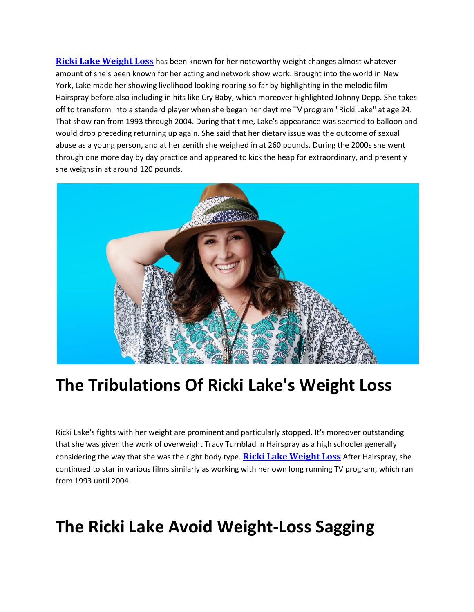**[Ricki Lake Weight Loss](https://supplementslove.com/ricki-lake-weight-loss/)** has been known for her noteworthy weight changes almost whatever amount of she's been known for her acting and network show work. Brought into the world in New York, Lake made her showing livelihood looking roaring so far by highlighting in the melodic film Hairspray before also including in hits like Cry Baby, which moreover highlighted Johnny Depp. She takes off to transform into a standard player when she began her daytime TV program "Ricki Lake" at age 24. That show ran from 1993 through 2004. During that time, Lake's appearance was seemed to balloon and would drop preceding returning up again. She said that her dietary issue was the outcome of sexual abuse as a young person, and at her zenith she weighed in at 260 pounds. During the 2000s she went through one more day by day practice and appeared to kick the heap for extraordinary, and presently she weighs in at around 120 pounds.



## **The Tribulations Of Ricki Lake's Weight Loss**

Ricki Lake's fights with her weight are prominent and particularly stopped. It's moreover outstanding that she was given the work of overweight Tracy Turnblad in Hairspray as a high schooler generally considering the way that she was the right body type. **[Ricki Lake Weight Loss](https://twitter.com/SupplementLove1/status/1280041353393602560)** After Hairspray, she continued to star in various films similarly as working with her own long running TV program, which ran from 1993 until 2004.

## **The Ricki Lake Avoid Weight-Loss Sagging**